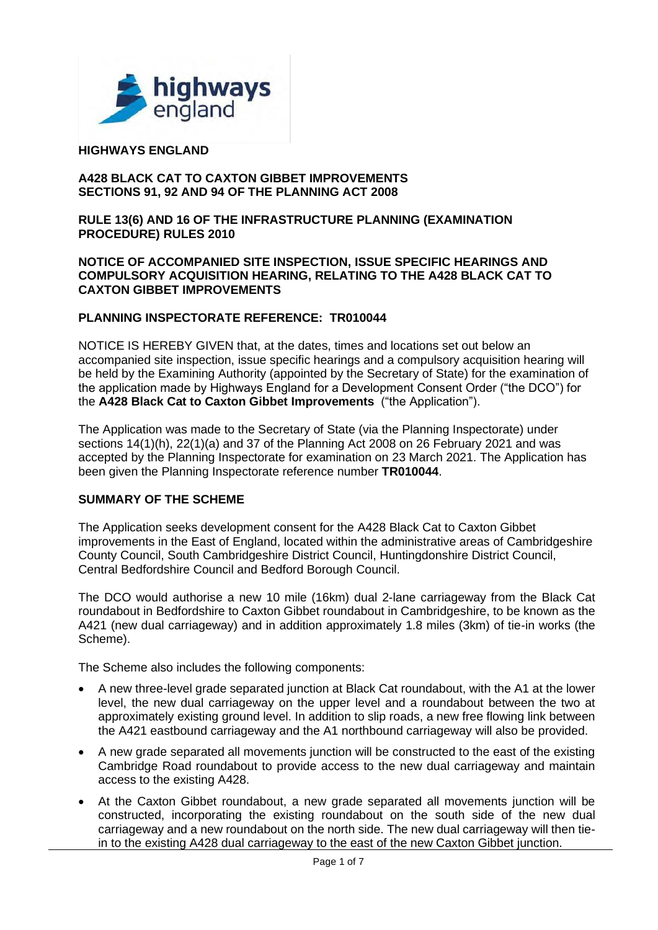

### **HIGHWAYS ENGLAND**

#### **A428 BLACK CAT TO CAXTON GIBBET IMPROVEMENTS SECTIONS 91, 92 AND 94 OF THE PLANNING ACT 2008**

#### **RULE 13(6) AND 16 OF THE INFRASTRUCTURE PLANNING (EXAMINATION PROCEDURE) RULES 2010**

#### **NOTICE OF ACCOMPANIED SITE INSPECTION, ISSUE SPECIFIC HEARINGS AND COMPULSORY ACQUISITION HEARING, RELATING TO THE A428 BLACK CAT TO CAXTON GIBBET IMPROVEMENTS**

### **PLANNING INSPECTORATE REFERENCE: TR010044**

NOTICE IS HEREBY GIVEN that, at the dates, times and locations set out below an accompanied site inspection, issue specific hearings and a compulsory acquisition hearing will be held by the Examining Authority (appointed by the Secretary of State) for the examination of the application made by Highways England for a Development Consent Order ("the DCO") for the **A428 Black Cat to Caxton Gibbet Improvements** ("the Application").

The Application was made to the Secretary of State (via the Planning Inspectorate) under sections 14(1)(h), 22(1)(a) and 37 of the Planning Act 2008 on 26 February 2021 and was accepted by the Planning Inspectorate for examination on 23 March 2021. The Application has been given the Planning Inspectorate reference number **TR010044**.

### **SUMMARY OF THE SCHEME**

The Application seeks development consent for the A428 Black Cat to Caxton Gibbet improvements in the East of England, located within the administrative areas of Cambridgeshire County Council, South Cambridgeshire District Council, Huntingdonshire District Council, Central Bedfordshire Council and Bedford Borough Council.

The DCO would authorise a new 10 mile (16km) dual 2-lane carriageway from the Black Cat roundabout in Bedfordshire to Caxton Gibbet roundabout in Cambridgeshire, to be known as the A421 (new dual carriageway) and in addition approximately 1.8 miles (3km) of tie-in works (the Scheme).

The Scheme also includes the following components:

- A new three-level grade separated junction at Black Cat roundabout, with the A1 at the lower level, the new dual carriageway on the upper level and a roundabout between the two at approximately existing ground level. In addition to slip roads, a new free flowing link between the A421 eastbound carriageway and the A1 northbound carriageway will also be provided.
- A new grade separated all movements junction will be constructed to the east of the existing Cambridge Road roundabout to provide access to the new dual carriageway and maintain access to the existing A428.
- At the Caxton Gibbet roundabout, a new grade separated all movements junction will be constructed, incorporating the existing roundabout on the south side of the new dual carriageway and a new roundabout on the north side. The new dual carriageway will then tiein to the existing A428 dual carriageway to the east of the new Caxton Gibbet junction.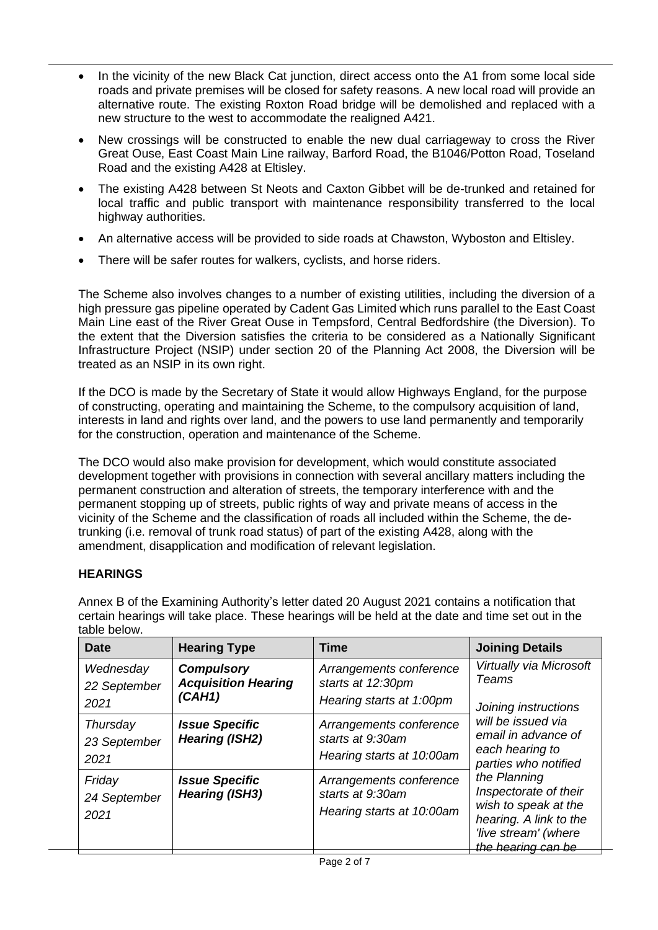- In the vicinity of the new Black Cat junction, direct access onto the A1 from some local side roads and private premises will be closed for safety reasons. A new local road will provide an alternative route. The existing Roxton Road bridge will be demolished and replaced with a new structure to the west to accommodate the realigned A421.
- New crossings will be constructed to enable the new dual carriageway to cross the River Great Ouse, East Coast Main Line railway, Barford Road, the B1046/Potton Road, Toseland Road and the existing A428 at Eltisley.
- The existing A428 between St Neots and Caxton Gibbet will be de-trunked and retained for local traffic and public transport with maintenance responsibility transferred to the local highway authorities.
- An alternative access will be provided to side roads at Chawston, Wyboston and Eltisley.
- There will be safer routes for walkers, cyclists, and horse riders.

The Scheme also involves changes to a number of existing utilities, including the diversion of a high pressure gas pipeline operated by Cadent Gas Limited which runs parallel to the East Coast Main Line east of the River Great Ouse in Tempsford, Central Bedfordshire (the Diversion). To the extent that the Diversion satisfies the criteria to be considered as a Nationally Significant Infrastructure Project (NSIP) under section 20 of the Planning Act 2008, the Diversion will be treated as an NSIP in its own right.

If the DCO is made by the Secretary of State it would allow Highways England, for the purpose of constructing, operating and maintaining the Scheme, to the compulsory acquisition of land, interests in land and rights over land, and the powers to use land permanently and temporarily for the construction, operation and maintenance of the Scheme.

The DCO would also make provision for development, which would constitute associated development together with provisions in connection with several ancillary matters including the permanent construction and alteration of streets, the temporary interference with and the permanent stopping up of streets, public rights of way and private means of access in the vicinity of the Scheme and the classification of roads all included within the Scheme, the detrunking (i.e. removal of trunk road status) of part of the existing A428, along with the amendment, disapplication and modification of relevant legislation.

## **HEARINGS**

Annex B of the Examining Authority's letter dated 20 August 2021 contains a notification that certain hearings will take place. These hearings will be held at the date and time set out in the table below.

| <b>Date</b>                       | <b>Hearing Type</b>                                       | Time                                                                     | <b>Joining Details</b>                                                                                                                                                                                                                                                                    |
|-----------------------------------|-----------------------------------------------------------|--------------------------------------------------------------------------|-------------------------------------------------------------------------------------------------------------------------------------------------------------------------------------------------------------------------------------------------------------------------------------------|
| Wednesday<br>22 September<br>2021 | <b>Compulsory</b><br><b>Acquisition Hearing</b><br>(CAH1) | Arrangements conference<br>starts at 12:30pm<br>Hearing starts at 1:00pm | Virtually via Microsoft<br>Teams<br>Joining instructions<br>will be issued via<br>email in advance of<br>each hearing to<br>parties who notified<br>the Planning<br>Inspectorate of their<br>wish to speak at the<br>hearing. A link to the<br>'live stream' (where<br>the hearing can be |
| Thursday<br>23 September<br>2021  | <b>Issue Specific</b><br><b>Hearing (ISH2)</b>            | Arrangements conference<br>starts at 9:30am<br>Hearing starts at 10:00am |                                                                                                                                                                                                                                                                                           |
| Friday<br>24 September<br>2021    | <b>Issue Specific</b><br><b>Hearing (ISH3)</b>            | Arrangements conference<br>starts at 9:30am<br>Hearing starts at 10:00am |                                                                                                                                                                                                                                                                                           |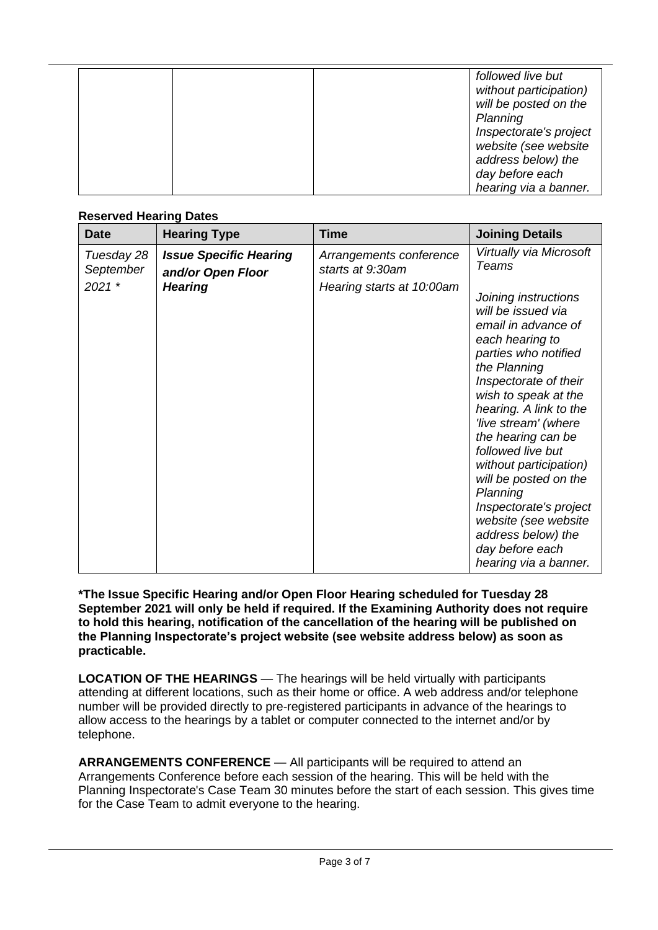|  | followed live but<br>without participation)<br>will be posted on the<br>Planning |
|--|----------------------------------------------------------------------------------|
|  | Inspectorate's project                                                           |
|  | website (see website                                                             |
|  | address below) the                                                               |
|  | day before each                                                                  |
|  | hearing via a banner.                                                            |

## **Reserved Hearing Dates**

| <b>Date</b>                         | <b>Hearing Type</b>                                                  | <b>Time</b>                                                              | <b>Joining Details</b>                                                                                                                                                                                                                                                                                                                                                                                                                                                                                   |
|-------------------------------------|----------------------------------------------------------------------|--------------------------------------------------------------------------|----------------------------------------------------------------------------------------------------------------------------------------------------------------------------------------------------------------------------------------------------------------------------------------------------------------------------------------------------------------------------------------------------------------------------------------------------------------------------------------------------------|
| Tuesday 28<br>September<br>$2021$ * | <b>Issue Specific Hearing</b><br>and/or Open Floor<br><b>Hearing</b> | Arrangements conference<br>starts at 9:30am<br>Hearing starts at 10:00am | Virtually via Microsoft<br><b>Teams</b><br>Joining instructions<br>will be issued via<br>email in advance of<br>each hearing to<br>parties who notified<br>the Planning<br>Inspectorate of their<br>wish to speak at the<br>hearing. A link to the<br>'live stream' (where<br>the hearing can be<br>followed live but<br>without participation)<br>will be posted on the<br>Planning<br>Inspectorate's project<br>website (see website<br>address below) the<br>day before each<br>hearing via a banner. |

**\*The Issue Specific Hearing and/or Open Floor Hearing scheduled for Tuesday 28 September 2021 will only be held if required. If the Examining Authority does not require to hold this hearing, notification of the cancellation of the hearing will be published on the Planning Inspectorate's project website (see website address below) as soon as practicable.**

**LOCATION OF THE HEARINGS** — The hearings will be held virtually with participants attending at different locations, such as their home or office. A web address and/or telephone number will be provided directly to pre-registered participants in advance of the hearings to allow access to the hearings by a tablet or computer connected to the internet and/or by telephone.

**ARRANGEMENTS CONFERENCE** — All participants will be required to attend an Arrangements Conference before each session of the hearing. This will be held with the Planning Inspectorate's Case Team 30 minutes before the start of each session. This gives time for the Case Team to admit everyone to the hearing.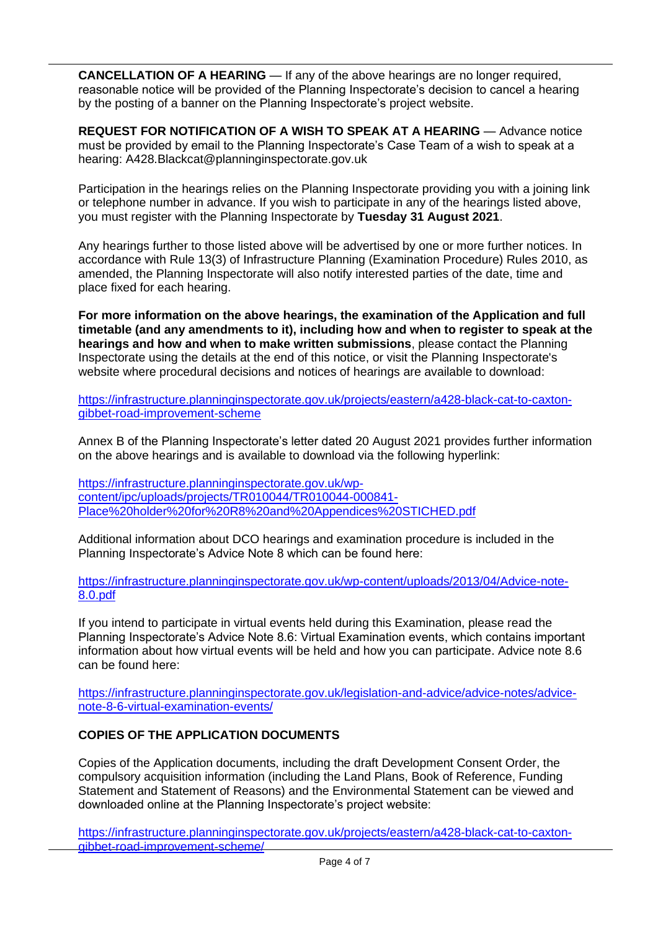**CANCELLATION OF A HEARING** — If any of the above hearings are no longer required, reasonable notice will be provided of the Planning Inspectorate's decision to cancel a hearing by the posting of a banner on the Planning Inspectorate's project website.

**REQUEST FOR NOTIFICATION OF A WISH TO SPEAK AT A HEARING** — Advance notice must be provided by email to the Planning Inspectorate's Case Team of a wish to speak at a hearing: A428.Blackcat@planninginspectorate.gov.uk

Participation in the hearings relies on the Planning Inspectorate providing you with a joining link or telephone number in advance. If you wish to participate in any of the hearings listed above, you must register with the Planning Inspectorate by **Tuesday 31 August 2021**.

Any hearings further to those listed above will be advertised by one or more further notices. In accordance with Rule 13(3) of Infrastructure Planning (Examination Procedure) Rules 2010, as amended, the Planning Inspectorate will also notify interested parties of the date, time and place fixed for each hearing.

**For more information on the above hearings, the examination of the Application and full timetable (and any amendments to it), including how and when to register to speak at the hearings and how and when to make written submissions**, please contact the Planning Inspectorate using the details at the end of this notice, or visit the Planning Inspectorate's website where procedural decisions and notices of hearings are available to download:

[https://infrastructure.planninginspectorate.gov.uk/projects/eastern/a428-black-cat-to-caxton](https://infrastructure.planninginspectorate.gov.uk/projects/eastern/a428-black-cat-to-caxton-gibbet-road-improvement-scheme)[gibbet-road-improvement-scheme](https://infrastructure.planninginspectorate.gov.uk/projects/eastern/a428-black-cat-to-caxton-gibbet-road-improvement-scheme)

Annex B of the Planning Inspectorate's letter dated 20 August 2021 provides further information on the above hearings and is available to download via the following hyperlink:

[https://infrastructure.planninginspectorate.gov.uk/wp](https://infrastructure.planninginspectorate.gov.uk/wp-content/ipc/uploads/projects/TR010044/TR010044-000841-Place%20holder%20for%20R8%20and%20Appendices%20STICHED.pdf)[content/ipc/uploads/projects/TR010044/TR010044-000841-](https://infrastructure.planninginspectorate.gov.uk/wp-content/ipc/uploads/projects/TR010044/TR010044-000841-Place%20holder%20for%20R8%20and%20Appendices%20STICHED.pdf) [Place%20holder%20for%20R8%20and%20Appendices%20STICHED.pdf](https://infrastructure.planninginspectorate.gov.uk/wp-content/ipc/uploads/projects/TR010044/TR010044-000841-Place%20holder%20for%20R8%20and%20Appendices%20STICHED.pdf)

Additional information about DCO hearings and examination procedure is included in the Planning Inspectorate's Advice Note 8 which can be found here:

[https://infrastructure.planninginspectorate.gov.uk/wp-content/uploads/2013/04/Advice-note-](https://infrastructure.planninginspectorate.gov.uk/wp-content/uploads/2013/04/Advice-note-8.0.pdf)[8.0.pdf](https://infrastructure.planninginspectorate.gov.uk/wp-content/uploads/2013/04/Advice-note-8.0.pdf)

If you intend to participate in virtual events held during this Examination, please read the Planning Inspectorate's Advice Note 8.6: Virtual Examination events, which contains important information about how virtual events will be held and how you can participate. Advice note 8.6 can be found here:

[https://infrastructure.planninginspectorate.gov.uk/legislation-and-advice/advice-notes/advice](https://infrastructure.planninginspectorate.gov.uk/legislation-and-advice/advice-notes/advice-note-8-6-virtual-examination-events/)[note-8-6-virtual-examination-events/](https://infrastructure.planninginspectorate.gov.uk/legislation-and-advice/advice-notes/advice-note-8-6-virtual-examination-events/)

## **COPIES OF THE APPLICATION DOCUMENTS**

Copies of the Application documents, including the draft Development Consent Order, the compulsory acquisition information (including the Land Plans, Book of Reference, Funding Statement and Statement of Reasons) and the Environmental Statement can be viewed and downloaded online at the Planning Inspectorate's project website:

[https://infrastructure.planninginspectorate.gov.uk/projects/eastern/a428-black-cat-to-caxton](https://infrastructure.planninginspectorate.gov.uk/projects/eastern/a428-black-cat-to-caxton-gibbet-road-improvement-scheme/)[gibbet-road-improvement-scheme/](https://infrastructure.planninginspectorate.gov.uk/projects/eastern/a428-black-cat-to-caxton-gibbet-road-improvement-scheme/)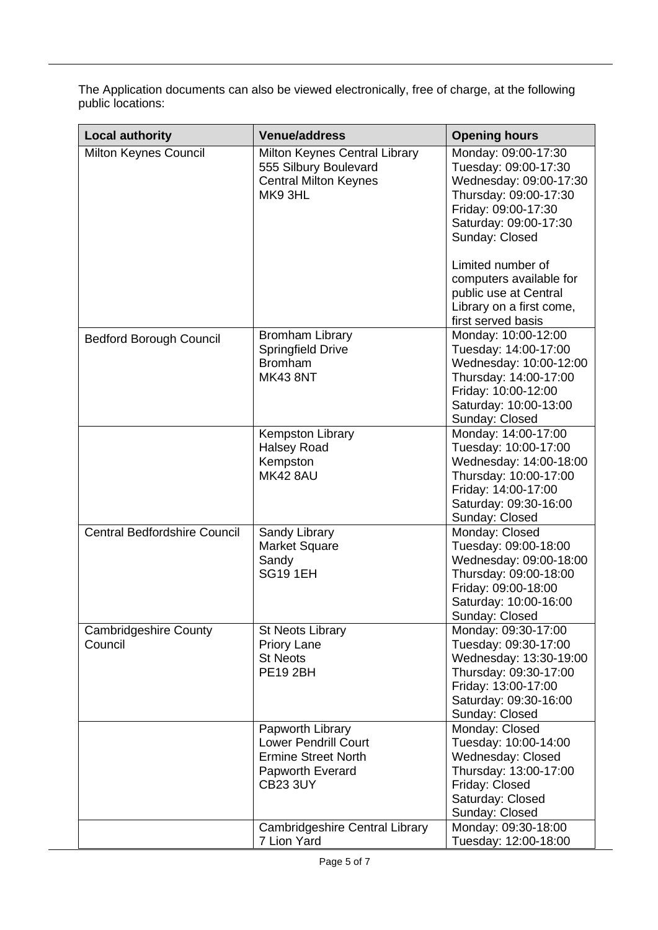The Application documents can also be viewed electronically, free of charge, at the following public locations:

| <b>Local authority</b>                  | <b>Venue/address</b>                                                                                                 | <b>Opening hours</b>                                                                                                                                             |
|-----------------------------------------|----------------------------------------------------------------------------------------------------------------------|------------------------------------------------------------------------------------------------------------------------------------------------------------------|
| Milton Keynes Council                   | Milton Keynes Central Library<br>555 Silbury Boulevard<br><b>Central Milton Keynes</b><br>MK93HL                     | Monday: 09:00-17:30<br>Tuesday: 09:00-17:30<br>Wednesday: 09:00-17:30<br>Thursday: 09:00-17:30<br>Friday: 09:00-17:30<br>Saturday: 09:00-17:30<br>Sunday: Closed |
|                                         |                                                                                                                      | Limited number of<br>computers available for<br>public use at Central<br>Library on a first come,<br>first served basis                                          |
| <b>Bedford Borough Council</b>          | <b>Bromham Library</b><br><b>Springfield Drive</b><br><b>Bromham</b><br><b>MK43 8NT</b>                              | Monday: 10:00-12:00<br>Tuesday: 14:00-17:00<br>Wednesday: 10:00-12:00<br>Thursday: 14:00-17:00<br>Friday: 10:00-12:00<br>Saturday: 10:00-13:00<br>Sunday: Closed |
|                                         | <b>Kempston Library</b><br><b>Halsey Road</b><br>Kempston<br><b>MK42 8AU</b>                                         | Monday: 14:00-17:00<br>Tuesday: 10:00-17:00<br>Wednesday: 14:00-18:00<br>Thursday: 10:00-17:00<br>Friday: 14:00-17:00<br>Saturday: 09:30-16:00<br>Sunday: Closed |
| <b>Central Bedfordshire Council</b>     | Sandy Library<br><b>Market Square</b><br>Sandy<br><b>SG19 1EH</b>                                                    | Monday: Closed<br>Tuesday: 09:00-18:00<br>Wednesday: 09:00-18:00<br>Thursday: 09:00-18:00<br>Friday: 09:00-18:00<br>Saturday: 10:00-16:00<br>Sunday: Closed      |
| <b>Cambridgeshire County</b><br>Council | <b>St Neots Library</b><br><b>Priory Lane</b><br><b>St Neots</b><br><b>PE19 2BH</b>                                  | Monday: 09:30-17:00<br>Tuesday: 09:30-17:00<br>Wednesday: 13:30-19:00<br>Thursday: 09:30-17:00<br>Friday: 13:00-17:00<br>Saturday: 09:30-16:00<br>Sunday: Closed |
|                                         | Papworth Library<br><b>Lower Pendrill Court</b><br><b>Ermine Street North</b><br>Papworth Everard<br><b>CB23 3UY</b> | Monday: Closed<br>Tuesday: 10:00-14:00<br>Wednesday: Closed<br>Thursday: 13:00-17:00<br>Friday: Closed<br>Saturday: Closed<br>Sunday: Closed                     |
|                                         | Cambridgeshire Central Library<br>7 Lion Yard                                                                        | Monday: 09:30-18:00<br>Tuesday: 12:00-18:00                                                                                                                      |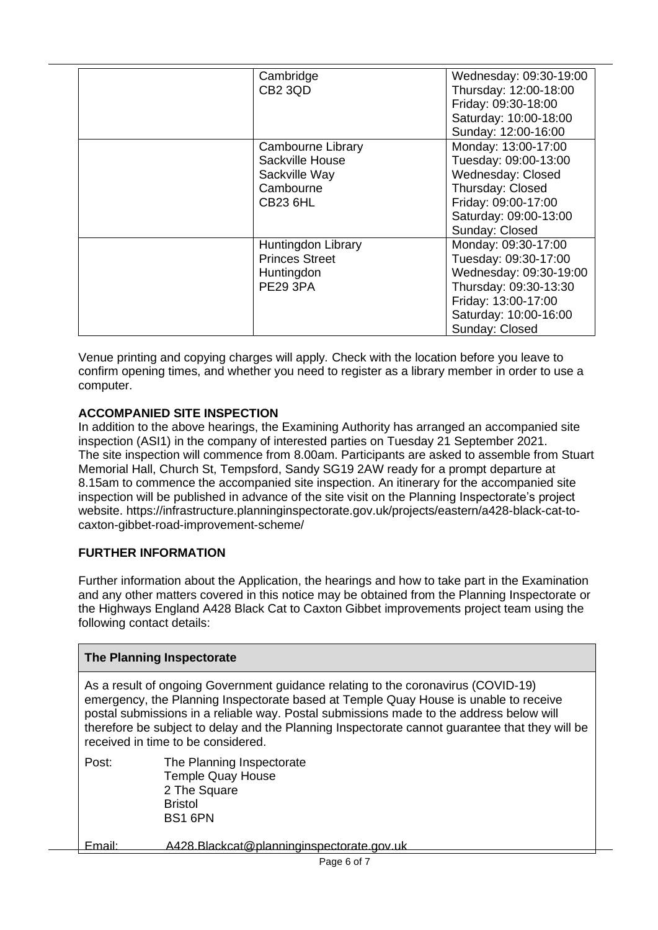| Cambridge             | Wednesday: 09:30-19:00 |
|-----------------------|------------------------|
| CB <sub>2</sub> 3QD   | Thursday: 12:00-18:00  |
|                       | Friday: 09:30-18:00    |
|                       | Saturday: 10:00-18:00  |
|                       | Sunday: 12:00-16:00    |
| Cambourne Library     | Monday: 13:00-17:00    |
| Sackville House       | Tuesday: 09:00-13:00   |
| Sackville Way         | Wednesday: Closed      |
| Cambourne             | Thursday: Closed       |
| <b>CB23 6HL</b>       | Friday: 09:00-17:00    |
|                       | Saturday: 09:00-13:00  |
|                       | Sunday: Closed         |
| Huntingdon Library    | Monday: 09:30-17:00    |
| <b>Princes Street</b> | Tuesday: 09:30-17:00   |
| Huntingdon            | Wednesday: 09:30-19:00 |
| <b>PE29 3PA</b>       | Thursday: 09:30-13:30  |
|                       | Friday: 13:00-17:00    |
|                       | Saturday: 10:00-16:00  |
|                       | Sunday: Closed         |

Venue printing and copying charges will apply*.* Check with the location before you leave to confirm opening times, and whether you need to register as a library member in order to use a computer.

# **ACCOMPANIED SITE INSPECTION**

In addition to the above hearings, the Examining Authority has arranged an accompanied site inspection (ASI1) in the company of interested parties on Tuesday 21 September 2021. The site inspection will commence from 8.00am. Participants are asked to assemble from Stuart Memorial Hall, Church St, Tempsford, Sandy SG19 2AW ready for a prompt departure at 8.15am to commence the accompanied site inspection. An itinerary for the accompanied site inspection will be published in advance of the site visit on the Planning Inspectorate's project website. https://infrastructure.planninginspectorate.gov.uk/projects/eastern/a428-black-cat-tocaxton-gibbet-road-improvement-scheme/

## **FURTHER INFORMATION**

Further information about the Application, the hearings and how to take part in the Examination and any other matters covered in this notice may be obtained from the Planning Inspectorate or the Highways England A428 Black Cat to Caxton Gibbet improvements project team using the following contact details:

| <b>The Planning Inspectorate</b> |                                                                                                                                                                                                                                                                                                                                                                                                              |
|----------------------------------|--------------------------------------------------------------------------------------------------------------------------------------------------------------------------------------------------------------------------------------------------------------------------------------------------------------------------------------------------------------------------------------------------------------|
|                                  | As a result of ongoing Government guidance relating to the coronavirus (COVID-19)<br>emergency, the Planning Inspectorate based at Temple Quay House is unable to receive<br>postal submissions in a reliable way. Postal submissions made to the address below will<br>therefore be subject to delay and the Planning Inspectorate cannot guarantee that they will be<br>received in time to be considered. |
| Post:                            | The Planning Inspectorate<br><b>Temple Quay House</b><br>2 The Square<br><b>Bristol</b><br>BS1 6PN                                                                                                                                                                                                                                                                                                           |
| Fmail:                           | A428.Blackcat@planninginspectorate.gov.uk                                                                                                                                                                                                                                                                                                                                                                    |